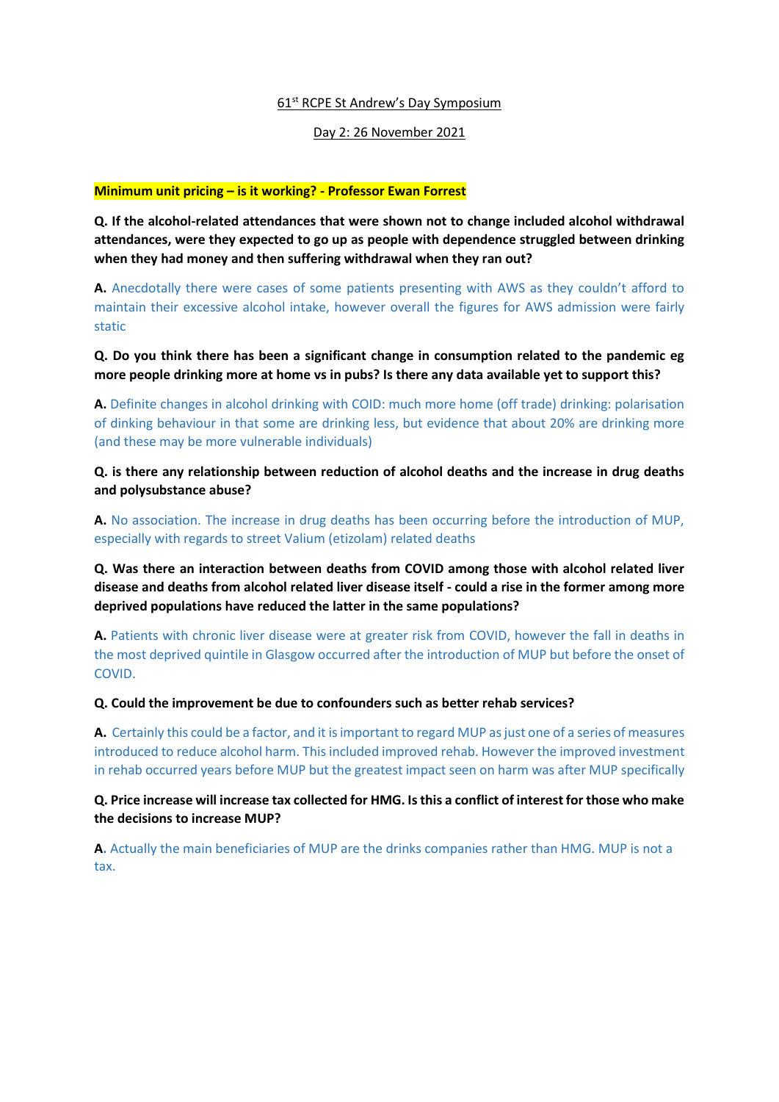### 61<sup>st</sup> RCPE St Andrew's Day Symposium

### Day 2: 26 November 2021

### **Minimum unit pricing – is it working? - Professor Ewan Forrest**

**Q. If the alcohol-related attendances that were shown not to change included alcohol withdrawal attendances, were they expected to go up as people with dependence struggled between drinking when they had money and then suffering withdrawal when they ran out?**

**A.** Anecdotally there were cases of some patients presenting with AWS as they couldn't afford to maintain their excessive alcohol intake, however overall the figures for AWS admission were fairly static

**Q. Do you think there has been a significant change in consumption related to the pandemic eg more people drinking more at home vs in pubs? Is there any data available yet to support this?**

**A.** Definite changes in alcohol drinking with COID: much more home (off trade) drinking: polarisation of dinking behaviour in that some are drinking less, but evidence that about 20% are drinking more (and these may be more vulnerable individuals)

**Q. is there any relationship between reduction of alcohol deaths and the increase in drug deaths and polysubstance abuse?**

**A.** No association. The increase in drug deaths has been occurring before the introduction of MUP, especially with regards to street Valium (etizolam) related deaths

**Q. Was there an interaction between deaths from COVID among those with alcohol related liver disease and deaths from alcohol related liver disease itself - could a rise in the former among more deprived populations have reduced the latter in the same populations?**

**A.** Patients with chronic liver disease were at greater risk from COVID, however the fall in deaths in the most deprived quintile in Glasgow occurred after the introduction of MUP but before the onset of COVID.

**Q. Could the improvement be due to confounders such as better rehab services?**

**A.** Certainly this could be a factor, and it is important to regard MUP as just one of a series of measures introduced to reduce alcohol harm. This included improved rehab. However the improved investment in rehab occurred years before MUP but the greatest impact seen on harm was after MUP specifically

**Q. Price increase will increase tax collected for HMG. Is this a conflict of interest for those who make the decisions to increase MUP?**

**A.** Actually the main beneficiaries of MUP are the drinks companies rather than HMG. MUP is not a tax.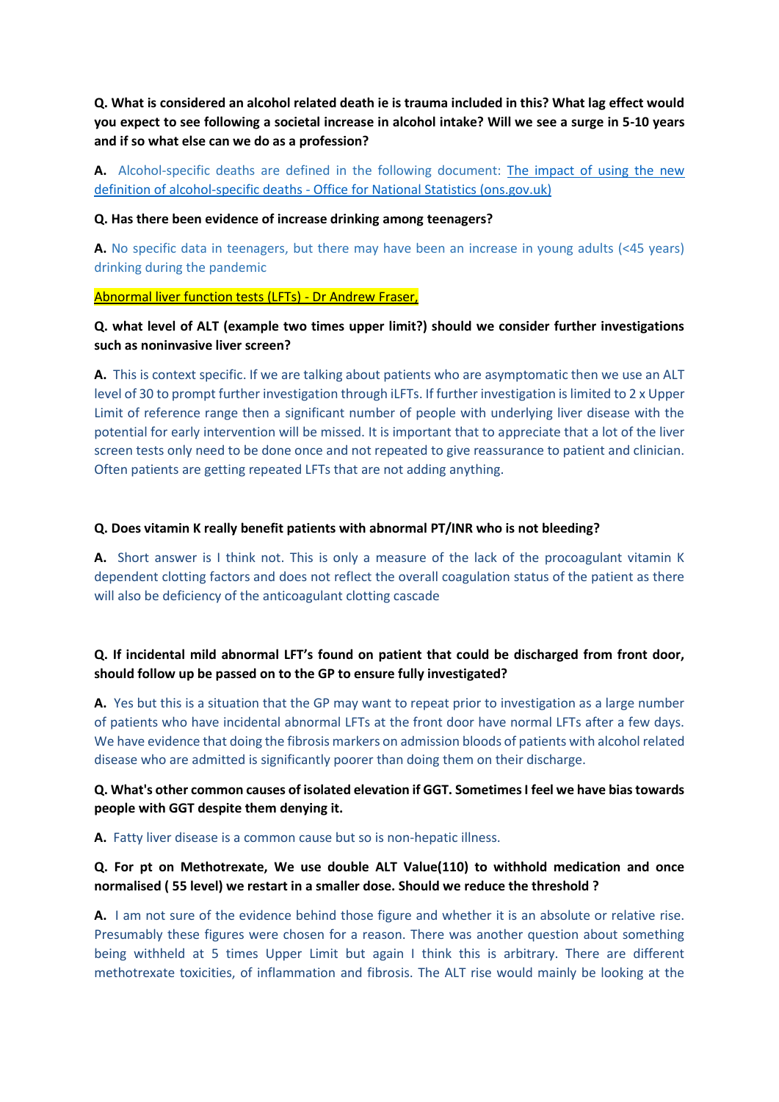**Q. What is considered an alcohol related death ie is trauma included in this? What lag effect would you expect to see following a societal increase in alcohol intake? Will we see a surge in 5-10 years and if so what else can we do as a profession?** 

A. Alcohol-specific deaths are defined in the following document: The impact of using the new definition of alcohol-specific deaths - [Office for National Statistics \(ons.gov.uk\)](https://www.ons.gov.uk/peoplepopulationandcommunity/birthsdeathsandmarriages/deaths/articles/theimpactofusingthenewdefinitionofalcoholspecificdeaths/2017-10-27)

### **Q. Has there been evidence of increase drinking among teenagers?**

**A.** No specific data in teenagers, but there may have been an increase in young adults (<45 years) drinking during the pandemic

### Abnormal liver function tests (LFTs) - Dr Andrew Fraser,

# **Q. what level of ALT (example two times upper limit?) should we consider further investigations such as noninvasive liver screen?**

**A.** This is context specific. If we are talking about patients who are asymptomatic then we use an ALT level of 30 to prompt further investigation through iLFTs. If further investigation is limited to 2 x Upper Limit of reference range then a significant number of people with underlying liver disease with the potential for early intervention will be missed. It is important that to appreciate that a lot of the liver screen tests only need to be done once and not repeated to give reassurance to patient and clinician. Often patients are getting repeated LFTs that are not adding anything.

### **Q. Does vitamin K really benefit patients with abnormal PT/INR who is not bleeding?**

**A.** Short answer is I think not. This is only a measure of the lack of the procoagulant vitamin K dependent clotting factors and does not reflect the overall coagulation status of the patient as there will also be deficiency of the anticoagulant clotting cascade

# **Q. If incidental mild abnormal LFT's found on patient that could be discharged from front door, should follow up be passed on to the GP to ensure fully investigated?**

**A.** Yes but this is a situation that the GP may want to repeat prior to investigation as a large number of patients who have incidental abnormal LFTs at the front door have normal LFTs after a few days. We have evidence that doing the fibrosis markers on admission bloods of patients with alcohol related disease who are admitted is significantly poorer than doing them on their discharge.

## **Q. What's other common causes of isolated elevation if GGT. Sometimes I feel we have bias towards people with GGT despite them denying it.**

**A.** Fatty liver disease is a common cause but so is non-hepatic illness.

## **Q. For pt on Methotrexate, We use double ALT Value(110) to withhold medication and once normalised ( 55 level) we restart in a smaller dose. Should we reduce the threshold ?**

**A.** I am not sure of the evidence behind those figure and whether it is an absolute or relative rise. Presumably these figures were chosen for a reason. There was another question about something being withheld at 5 times Upper Limit but again I think this is arbitrary. There are different methotrexate toxicities, of inflammation and fibrosis. The ALT rise would mainly be looking at the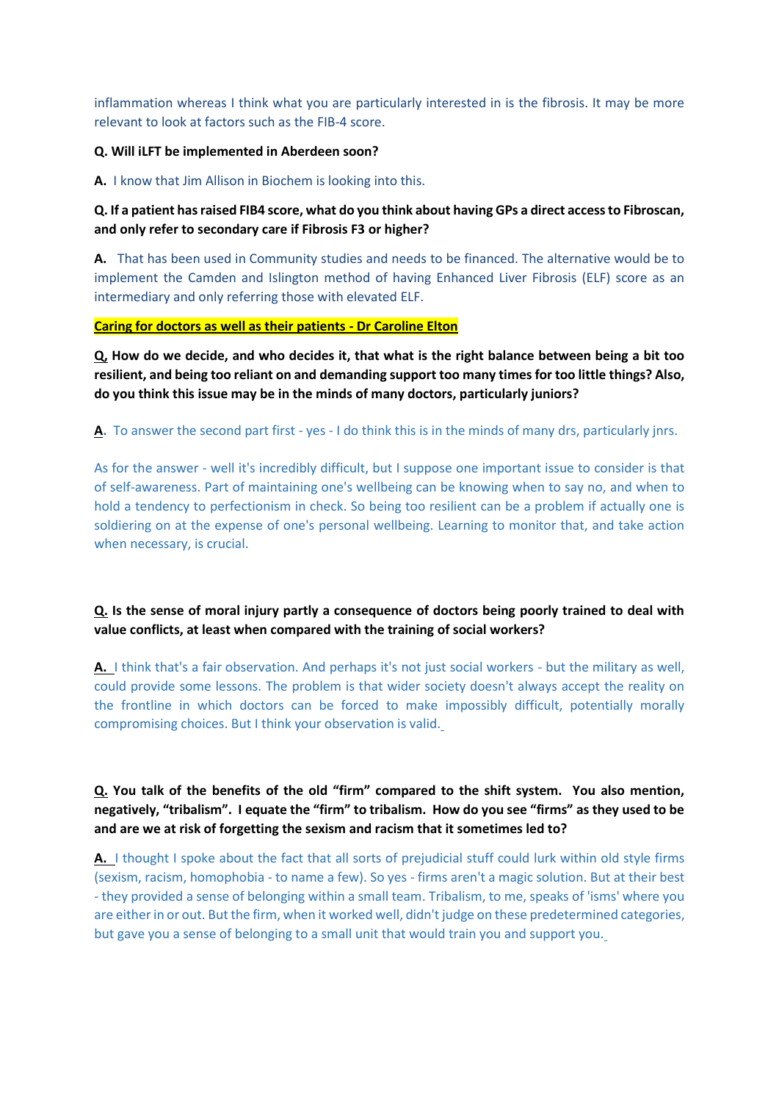inflammation whereas I think what you are particularly interested in is the fibrosis. It may be more relevant to look at factors such as the FIB-4 score.

### **Q. Will iLFT be implemented in Aberdeen soon?**

**A.** I know that Jim Allison in Biochem is looking into this.

# **Q. If a patient has raised FIB4 score, what do you think about having GPs a direct access to Fibroscan, and only refer to secondary care if Fibrosis F3 or higher?**

**A.** That has been used in Community studies and needs to be financed. The alternative would be to implement the Camden and Islington method of having Enhanced Liver Fibrosis (ELF) score as an intermediary and only referring those with elevated ELF.

### **Caring for doctors as well as their patients - Dr Caroline Elton**

**Q, How do we decide, and who decides it, that what is the right balance between being a bit too resilient, and being too reliant on and demanding support too many times for too little things? Also, do you think this issue may be in the minds of many doctors, particularly juniors?**

**A.** To answer the second part first - yes - I do think this is in the minds of many drs, particularly jnrs.

As for the answer - well it's incredibly difficult, but I suppose one important issue to consider is that of self-awareness. Part of maintaining one's wellbeing can be knowing when to say no, and when to hold a tendency to perfectionism in check. So being too resilient can be a problem if actually one is soldiering on at the expense of one's personal wellbeing. Learning to monitor that, and take action when necessary, is crucial.

# **Q. Is the sense of moral injury partly a consequence of doctors being poorly trained to deal with value conflicts, at least when compared with the training of social workers?**

**A.** I think that's a fair observation. And perhaps it's not just social workers - but the military as well, could provide some lessons. The problem is that wider society doesn't always accept the reality on the frontline in which doctors can be forced to make impossibly difficult, potentially morally compromising choices. But I think your observation is valid.

# **Q. You talk of the benefits of the old "firm" compared to the shift system. You also mention, negatively, "tribalism". I equate the "firm" to tribalism. How do you see "firms" as they used to be and are we at risk of forgetting the sexism and racism that it sometimes led to?**

**A.** I thought I spoke about the fact that all sorts of prejudicial stuff could lurk within old style firms (sexism, racism, homophobia - to name a few). So yes - firms aren't a magic solution. But at their best - they provided a sense of belonging within a small team. Tribalism, to me, speaks of 'isms' where you are either in or out. But the firm, when it worked well, didn't judge on these predetermined categories, but gave you a sense of belonging to a small unit that would train you and support you.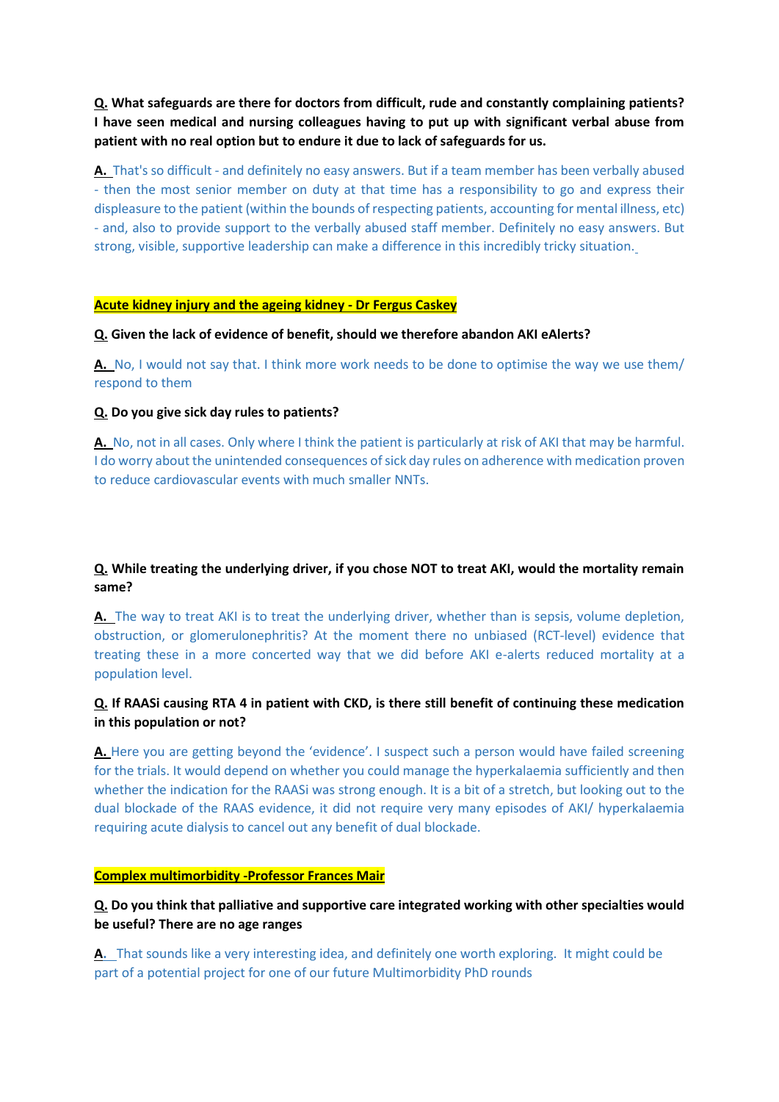**Q. What safeguards are there for doctors from difficult, rude and constantly complaining patients? I have seen medical and nursing colleagues having to put up with significant verbal abuse from patient with no real option but to endure it due to lack of safeguards for us.**

**A.** That's so difficult - and definitely no easy answers. But if a team member has been verbally abused - then the most senior member on duty at that time has a responsibility to go and express their displeasure to the patient (within the bounds of respecting patients, accounting for mental illness, etc) - and, also to provide support to the verbally abused staff member. Definitely no easy answers. But strong, visible, supportive leadership can make a difference in this incredibly tricky situation.

### **Acute kidney injury and the ageing kidney - Dr Fergus Caskey**

**Q. Given the lack of evidence of benefit, should we therefore abandon AKI eAlerts?**

**A.** No, I would not say that. I think more work needs to be done to optimise the way we use them/ respond to them

### **Q. Do you give sick day rules to patients?**

**A.** No, not in all cases. Only where I think the patient is particularly at risk of AKI that may be harmful. I do worry about the unintended consequences of sick day rules on adherence with medication proven to reduce cardiovascular events with much smaller NNTs.

# **Q. While treating the underlying driver, if you chose NOT to treat AKI, would the mortality remain same?**

**A.** The way to treat AKI is to treat the underlying driver, whether than is sepsis, volume depletion, obstruction, or glomerulonephritis? At the moment there no unbiased (RCT-level) evidence that treating these in a more concerted way that we did before AKI e-alerts reduced mortality at a population level.

# **Q. If RAASi causing RTA 4 in patient with CKD, is there still benefit of continuing these medication in this population or not?**

**A.** Here you are getting beyond the 'evidence'. I suspect such a person would have failed screening for the trials. It would depend on whether you could manage the hyperkalaemia sufficiently and then whether the indication for the RAASi was strong enough. It is a bit of a stretch, but looking out to the dual blockade of the RAAS evidence, it did not require very many episodes of AKI/ hyperkalaemia requiring acute dialysis to cancel out any benefit of dual blockade.

#### **Complex multimorbidity -Professor Frances Mair**

**Q. Do you think that palliative and supportive care integrated working with other specialties would be useful? There are no age ranges**

**A.** That sounds like a very interesting idea, and definitely one worth exploring. It might could be part of a potential project for one of our future Multimorbidity PhD rounds